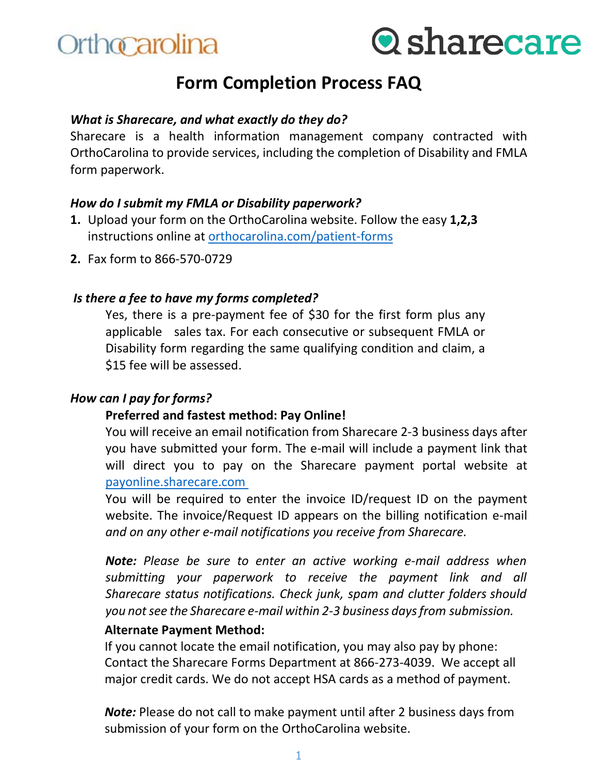



## **Form Completion Process FAQ**

### *What is Sharecare, and what exactly do they do?*

Sharecare is a health information management company contracted with OrthoCarolina to provide services, including the completion of Disability and FMLA form paperwork.

#### *How do I submit my FMLA or Disability paperwork?*

- **1.** Upload your form on the OrthoCarolina website. Follow the easy **1,2,3** instructions online at [orthocarolina.com/patient-forms](https://www.orthocarolina.com/patient-forms)
- **2.** Fax form to 866-570-0729

#### *Is there a fee to have my forms completed?*

Yes, there is a pre-payment fee of \$30 for the first form plus any applicable sales tax. For each consecutive or subsequent FMLA or Disability form regarding the same qualifying condition and claim, a \$15 fee will be assessed.

## *How can I pay for forms?*

#### **Preferred and fastest method: Pay Online!**

You will receive an email notification from Sharecare 2-3 business days after you have submitted your form. The e-mail will include a payment link that will direct you to pay on the Sharecare payment portal website at payonline.sharecare.com

You will be required to enter the invoice ID/request ID on the payment website. The invoice/Request ID appears on the billing notification e-mail *and on any other e-mail notifications you receive from Sharecare.*

*Note: Please be sure to enter an active working e-mail address when submitting your paperwork to receive the payment link and all Sharecare status notifications. Check junk, spam and clutter folders should you not see the Sharecare e-mail within 2-3 business days from submission.* 

#### **Alternate Payment Method:**

If you cannot locate the email notification, you may also pay by phone: Contact the Sharecare Forms Department at 866-273-4039. We accept all major credit cards. We do not accept HSA cards as a method of payment.

*Note:* Please do not call to make payment until after 2 business days from submission of your form on the OrthoCarolina website.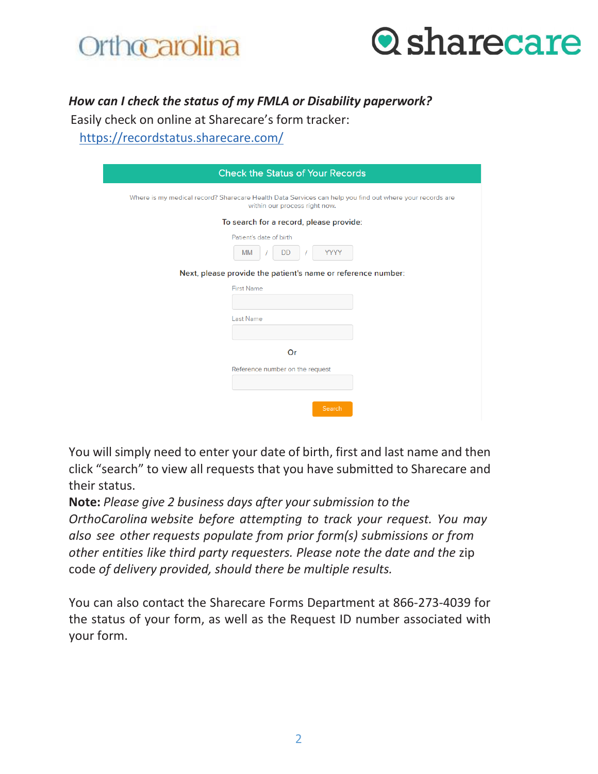



## *How can I check the status of my FMLA or Disability paperwork?*

Easily check on online at Sharecare's form tracker:

https://recordstatus.sharecare.com/

| <b>Check the Status of Your Records</b>                                                                                                  |
|------------------------------------------------------------------------------------------------------------------------------------------|
| Where is my medical record? Sharecare Health Data Services can help you find out where your records are<br>within our process right now. |
| To search for a record, please provide:                                                                                                  |
| Patient's date of birth<br><b>YYYY</b><br><b>DD</b><br>MM<br>Next, please provide the patient's name or reference number:                |
| <b>First Name</b>                                                                                                                        |
|                                                                                                                                          |
| <b>Last Name</b>                                                                                                                         |
|                                                                                                                                          |
| Or                                                                                                                                       |
| Reference number on the request                                                                                                          |
| Search                                                                                                                                   |

You will simply need to enter your date of birth, first and last name and then click "search" to view all requests that you have submitted to Sharecare and their status.

**Note:** *Please give 2 business days after your submission to the OrthoCarolina website before attempting to track your request. You may also see other requests populate from prior form(s) submissions or from other entities like third party requesters. Please note the date and the* zip code *of delivery provided, should there be multiple results.* 

You can also contact the Sharecare Forms Department at 866-273-4039 for the status of your form, as well as the Request ID number associated with your form.